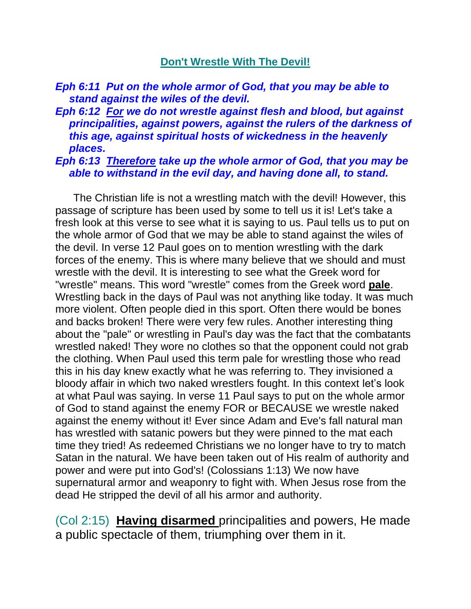## **Don't Wrestle With The Devil!**

## *Eph 6:11 Put on the whole armor of God, that you may be able to stand against the wiles of the devil.*

## *Eph 6:12 For we do not wrestle against flesh and blood, but against principalities, against powers, against the rulers of the darkness of this age, against spiritual hosts of wickedness in the heavenly places.*

## *Eph 6:13 Therefore take up the whole armor of God, that you may be able to withstand in the evil day, and having done all, to stand.*

 The Christian life is not a wrestling match with the devil! However, this passage of scripture has been used by some to tell us it is! Let's take a fresh look at this verse to see what it is saying to us. Paul tells us to put on the whole armor of God that we may be able to stand against the wiles of the devil. In verse 12 Paul goes on to mention wrestling with the dark forces of the enemy. This is where many believe that we should and must wrestle with the devil. It is interesting to see what the Greek word for "wrestle" means. This word "wrestle" comes from the Greek word **pale**. Wrestling back in the days of Paul was not anything like today. It was much more violent. Often people died in this sport. Often there would be bones and backs broken! There were very few rules. Another interesting thing about the "pale" or wrestling in Paul's day was the fact that the combatants wrestled naked! They wore no clothes so that the opponent could not grab the clothing. When Paul used this term pale for wrestling those who read this in his day knew exactly what he was referring to. They invisioned a bloody affair in which two naked wrestlers fought. In this context let's look at what Paul was saying. In verse 11 Paul says to put on the whole armor of God to stand against the enemy FOR or BECAUSE we wrestle naked against the enemy without it! Ever since Adam and Eve's fall natural man has wrestled with satanic powers but they were pinned to the mat each time they tried! As redeemed Christians we no longer have to try to match Satan in the natural. We have been taken out of His realm of authority and power and were put into God's! (Colossians 1:13) We now have supernatural armor and weaponry to fight with. When Jesus rose from the dead He stripped the devil of all his armor and authority.

(Col 2:15) **Having disarmed** principalities and powers, He made a public spectacle of them, triumphing over them in it.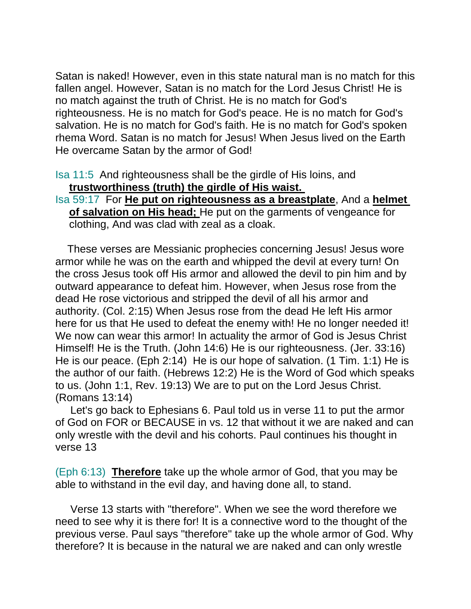Satan is naked! However, even in this state natural man is no match for this fallen angel. However, Satan is no match for the Lord Jesus Christ! He is no match against the truth of Christ. He is no match for God's righteousness. He is no match for God's peace. He is no match for God's salvation. He is no match for God's faith. He is no match for God's spoken rhema Word. Satan is no match for Jesus! When Jesus lived on the Earth He overcame Satan by the armor of God!

Isa 11:5 And righteousness shall be the girdle of His loins, and **trustworthiness (truth) the girdle of His waist.** 

Isa 59:17 For **He put on righteousness as a breastplate**, And a **helmet of salvation on His head;** He put on the garments of vengeance for clothing, And was clad with zeal as a cloak.

 These verses are Messianic prophecies concerning Jesus! Jesus wore armor while he was on the earth and whipped the devil at every turn! On the cross Jesus took off His armor and allowed the devil to pin him and by outward appearance to defeat him. However, when Jesus rose from the dead He rose victorious and stripped the devil of all his armor and authority. (Col. 2:15) When Jesus rose from the dead He left His armor here for us that He used to defeat the enemy with! He no longer needed it! We now can wear this armor! In actuality the armor of God is Jesus Christ Himself! He is the Truth. (John 14:6) He is our righteousness. (Jer. 33:16) He is our peace. (Eph 2:14) He is our hope of salvation. (1 Tim. 1:1) He is the author of our faith. (Hebrews 12:2) He is the Word of God which speaks to us. (John 1:1, Rev. 19:13) We are to put on the Lord Jesus Christ. (Romans 13:14)

 Let's go back to Ephesians 6. Paul told us in verse 11 to put the armor of God on FOR or BECAUSE in vs. 12 that without it we are naked and can only wrestle with the devil and his cohorts. Paul continues his thought in verse 13

(Eph 6:13) **Therefore** take up the whole armor of God, that you may be able to withstand in the evil day, and having done all, to stand.

 Verse 13 starts with "therefore". When we see the word therefore we need to see why it is there for! It is a connective word to the thought of the previous verse. Paul says "therefore" take up the whole armor of God. Why therefore? It is because in the natural we are naked and can only wrestle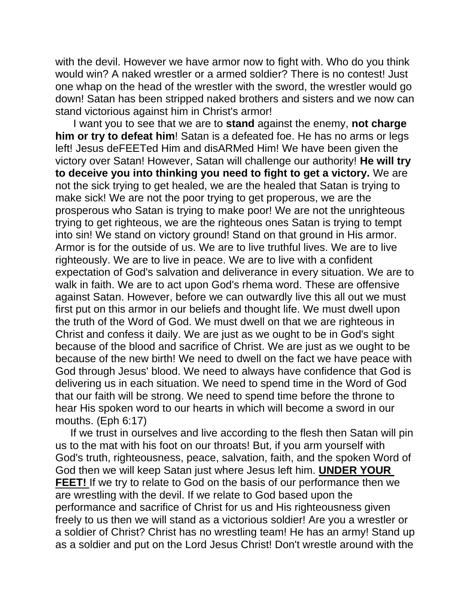with the devil. However we have armor now to fight with. Who do you think would win? A naked wrestler or a armed soldier? There is no contest! Just one whap on the head of the wrestler with the sword, the wrestler would go down! Satan has been stripped naked brothers and sisters and we now can stand victorious against him in Christ's armor!

 I want you to see that we are to **stand** against the enemy, **not charge him or try to defeat him**! Satan is a defeated foe. He has no arms or legs left! Jesus deFEETed Him and disARMed Him! We have been given the victory over Satan! However, Satan will challenge our authority! **He will try to deceive you into thinking you need to fight to get a victory.** We are not the sick trying to get healed, we are the healed that Satan is trying to make sick! We are not the poor trying to get properous, we are the prosperous who Satan is trying to make poor! We are not the unrighteous trying to get righteous, we are the righteous ones Satan is trying to tempt into sin! We stand on victory ground! Stand on that ground in His armor. Armor is for the outside of us. We are to live truthful lives. We are to live righteously. We are to live in peace. We are to live with a confident expectation of God's salvation and deliverance in every situation. We are to walk in faith. We are to act upon God's rhema word. These are offensive against Satan. However, before we can outwardly live this all out we must first put on this armor in our beliefs and thought life. We must dwell upon the truth of the Word of God. We must dwell on that we are righteous in Christ and confess it daily. We are just as we ought to be in God's sight because of the blood and sacrifice of Christ. We are just as we ought to be because of the new birth! We need to dwell on the fact we have peace with God through Jesus' blood. We need to always have confidence that God is delivering us in each situation. We need to spend time in the Word of God that our faith will be strong. We need to spend time before the throne to hear His spoken word to our hearts in which will become a sword in our mouths. (Eph 6:17)

 If we trust in ourselves and live according to the flesh then Satan will pin us to the mat with his foot on our throats! But, if you arm yourself with God's truth, righteousness, peace, salvation, faith, and the spoken Word of God then we will keep Satan just where Jesus left him. **UNDER YOUR FEET!** If we try to relate to God on the basis of our performance then we are wrestling with the devil. If we relate to God based upon the performance and sacrifice of Christ for us and His righteousness given freely to us then we will stand as a victorious soldier! Are you a wrestler or a soldier of Christ? Christ has no wrestling team! He has an army! Stand up as a soldier and put on the Lord Jesus Christ! Don't wrestle around with the